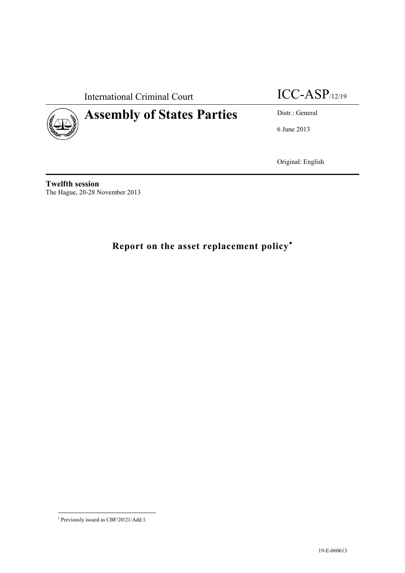International Criminal Court ICC-ASP/12/19



6 June 2013

Original: English

**Twelfth session** The Hague, 20-28 November 2013

## **Report on the asset replacement policy**

Previously issued as CBF/20/21/Add.1.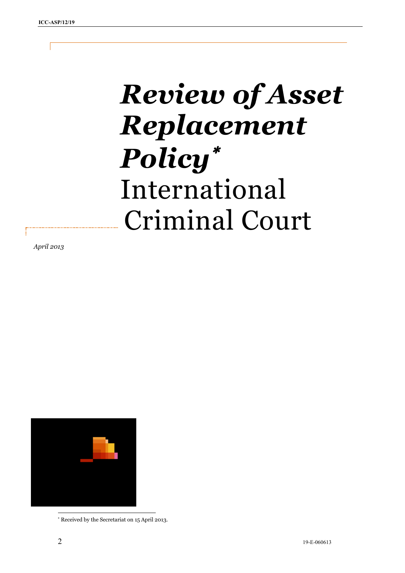# *Review of Asset Replacement Policy* International Criminal Court

*April 2013*



Received by the Secretariat on 15 April 2013.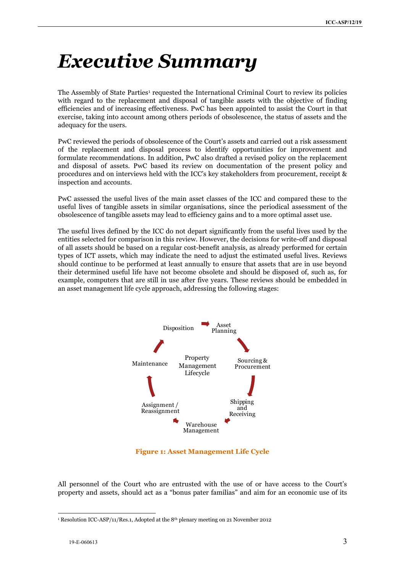## <span id="page-2-0"></span>*Executive Summary*

The Assembly of State Parties<sup>1</sup> requested the International Criminal Court to review its policies with regard to the replacement and disposal of tangible assets with the objective of finding efficiencies and of increasing effectiveness. PwC has been appointed to assist the Court in that exercise, taking into account among others periods of obsolescence, the status of assets and the adequacy for the users.

PwC reviewed the periods of obsolescence of the Court's assets and carried out a risk assessment of the replacement and disposal process to identify opportunities for improvement and formulate recommendations. In addition, PwC also drafted a revised policy on the replacement and disposal of assets. PwC based its review on documentation of the present policy and procedures and on interviews held with the ICC's key stakeholders from procurement, receipt & inspection and accounts.

PwC assessed the useful lives of the main asset classes of the ICC and compared these to the useful lives of tangible assets in similar organisations, since the periodical assessment of the obsolescence of tangible assets may lead to efficiency gains and to a more optimal asset use.

The useful lives defined by the ICC do not depart significantly from the useful lives used by the entities selected for comparison in this review. However, the decisions for write-off and disposal of all assets should be based on a regular cost-benefit analysis, as already performed for certain types of ICT assets, which may indicate the need to adjust the estimated useful lives. Reviews should continue to be performed at least annually to ensure that assets that are in use beyond their determined useful life have not become obsolete and should be disposed of, such as, for example, computers that are still in use after five years. These reviews should be embedded in an asset management life cycle approach, addressing the following stages:



**Figure 1: Asset Management Life Cycle**

All personnel of the Court who are entrusted with the use of or have access to the Court's property and assets, should act as a "bonus pater familias" and aim for an economic use of its

<sup>-</sup><sup>1</sup> Resolution ICC-ASP/11/Res.1, Adopted at the 8<sup>th</sup> plenary meeting on 21 November 2012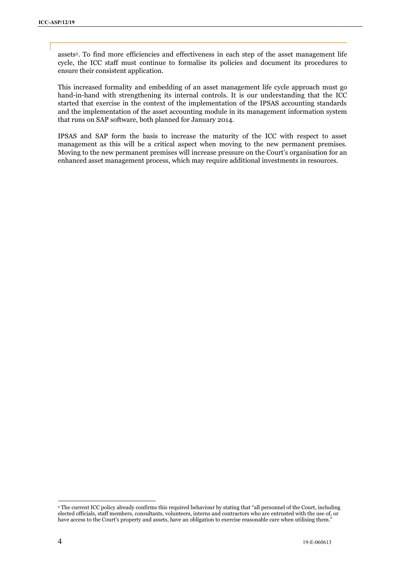assets2. To find more efficiencies and effectiveness in each step of the asset management life cycle, the ICC staff must continue to formalise its policies and document its procedures to ensure their consistent application.

This increased formality and embedding of an asset management life cycle approach must go hand-in-hand with strengthening its internal controls. It is our understanding that the ICC started that exercise in the context of the implementation of the IPSAS accounting standards and the implementation of the asset accounting module in its management information system that runs on SAP software, both planned for January 2014.

IPSAS and SAP form the basis to increase the maturity of the ICC with respect to asset management as this will be a critical aspect when moving to the new permanent premises. Moving to the new permanent premises will increase pressure on the Court's organisation for an enhanced asset management process, which may require additional investments in resources.

1

<sup>2</sup> The current ICC policy already confirms this required behaviour by stating that "all personnel of the Court, including elected officials, staff members, consultants, volunteers, interns and contractors who are entrusted with the use of, or have access to the Court's property and assets, have an obligation to exercise reasonable care when utilising them."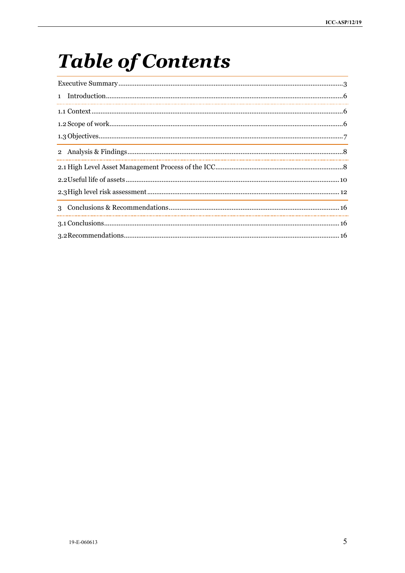## **Table of Contents**

| 1 |  |  |
|---|--|--|
|   |  |  |
|   |  |  |
|   |  |  |
|   |  |  |
|   |  |  |
|   |  |  |
|   |  |  |
|   |  |  |
|   |  |  |
|   |  |  |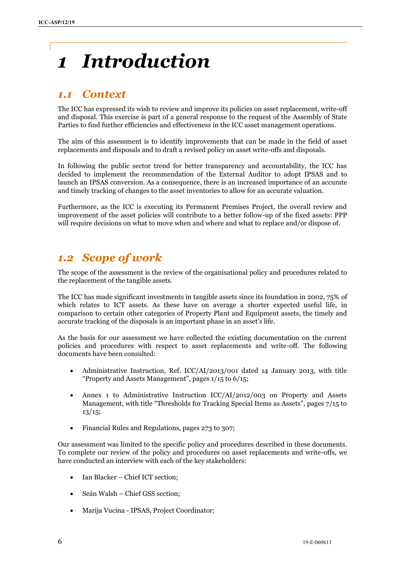## <span id="page-5-0"></span>*1 Introduction*

## <span id="page-5-1"></span>*1.1 Context*

The ICC has expressed its wish to review and improve its policies on asset replacement, write-off and disposal. This exercise is part of a general response to the request of the Assembly of State Parties to find further efficiencies and effectiveness in the ICC asset management operations.

The aim of this assessment is to identify improvements that can be made in the field of asset replacements and disposals and to draft a revised policy on asset write-offs and disposals.

In following the public sector trend for better transparency and accountability, the ICC has decided to implement the recommendation of the External Auditor to adopt IPSAS and to launch an IPSAS conversion. As a consequence, there is an increased importance of an accurate and timely tracking of changes to the asset inventories to allow for an accurate valuation.

Furthermore, as the ICC is executing its Permanent Premises Project, the overall review and improvement of the asset policies will contribute to a better follow-up of the fixed assets: PPP will require decisions on what to move when and where and what to replace and/or dispose of.

## <span id="page-5-2"></span>*1.2 Scope of work*

The scope of the assessment is the review of the organisational policy and procedures related to the replacement of the tangible assets.

The ICC has made significant investments in tangible assets since its foundation in 2002, 75% of which relates to ICT assets. As these have on average a shorter expected useful life, in comparison to certain other categories of Property Plant and Equipment assets, the timely and accurate tracking of the disposals is an important phase in an asset's life.

As the basis for our assessment we have collected the existing documentation on the current policies and procedures with respect to asset replacements and write-off. The following documents have been consulted:

- Administrative Instruction, Ref. ICC/AI/2013/001 dated 14 January 2013, with title "Property and Assets Management", pages 1/15 to 6/15;
- Annex 1 to Administrative Instruction ICC/AI/2012/003 on Property and Assets Management, with title "Thresholds for Tracking Special Items as Assets", pages 7/15 to  $13/15;$
- Financial Rules and Regulations, pages 273 to 307;

Our assessment was limited to the specific policy and procedures described in these documents. To complete our review of the policy and procedures on asset replacements and write-offs, we have conducted an interview with each of the key stakeholders:

- Ian Blacker Chief ICT section;
- Seán Walsh Chief GSS section;
- Marija Vucina IPSAS, Project Coordinator;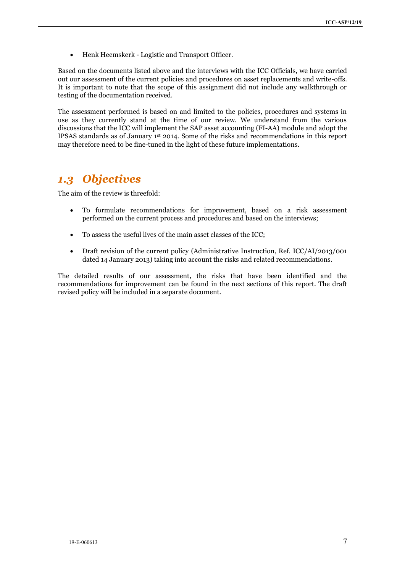• Henk Heemskerk - Logistic and Transport Officer.

Based on the documents listed above and the interviews with the ICC Officials, we have carried out our assessment of the current policies and procedures on asset replacements and write-offs. It is important to note that the scope of this assignment did not include any walkthrough or testing of the documentation received.

The assessment performed is based on and limited to the policies, procedures and systems in use as they currently stand at the time of our review. We understand from the various discussions that the ICC will implement the SAP asset accounting (FI-AA) module and adopt the IPSAS standards as of January 1st 2014. Some of the risks and recommendations in this report may therefore need to be fine-tuned in the light of these future implementations.

### <span id="page-6-0"></span>*1.3 Objectives*

The aim of the review is threefold:

- To formulate recommendations for improvement, based on a risk assessment performed on the current process and procedures and based on the interviews;
- To assess the useful lives of the main asset classes of the ICC;
- Draft revision of the current policy (Administrative Instruction, Ref. ICC/AI/2013/001 dated 14 January 2013) taking into account the risks and related recommendations.

The detailed results of our assessment, the risks that have been identified and the recommendations for improvement can be found in the next sections of this report. The draft revised policy will be included in a separate document.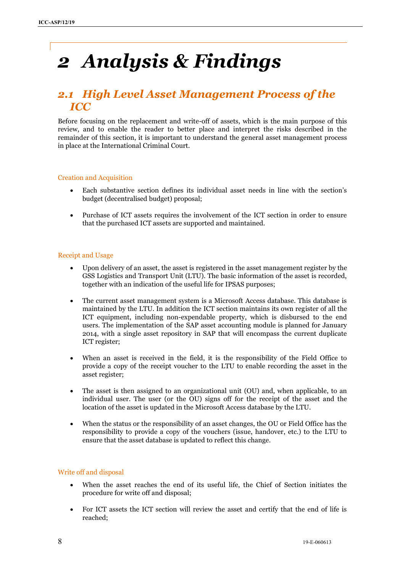## <span id="page-7-0"></span>*2 Analysis & Findings*

### <span id="page-7-1"></span>*2.1 High Level Asset Management Process of the ICC*

Before focusing on the replacement and write-off of assets, which is the main purpose of this review, and to enable the reader to better place and interpret the risks described in the remainder of this section, it is important to understand the general asset management process in place at the International Criminal Court.

#### Creation and Acquisition

- Each substantive section defines its individual asset needs in line with the section's budget (decentralised budget) proposal;
- Purchase of ICT assets requires the involvement of the ICT section in order to ensure that the purchased ICT assets are supported and maintained.

#### Receipt and Usage

- Upon delivery of an asset, the asset is registered in the asset management register by the GSS Logistics and Transport Unit (LTU). The basic information of the asset is recorded, together with an indication of the useful life for IPSAS purposes;
- The current asset management system is a Microsoft Access database. This database is maintained by the LTU. In addition the ICT section maintains its own register of all the ICT equipment, including non-expendable property, which is disbursed to the end users. The implementation of the SAP asset accounting module is planned for January 2014, with a single asset repository in SAP that will encompass the current duplicate ICT register;
- When an asset is received in the field, it is the responsibility of the Field Office to provide a copy of the receipt voucher to the LTU to enable recording the asset in the asset register;
- The asset is then assigned to an organizational unit (OU) and, when applicable, to an individual user. The user (or the OU) signs off for the receipt of the asset and the location of the asset is updated in the Microsoft Access database by the LTU.
- When the status or the responsibility of an asset changes, the OU or Field Office has the responsibility to provide a copy of the vouchers (issue, handover, etc.) to the LTU to ensure that the asset database is updated to reflect this change.

#### Write off and disposal

- When the asset reaches the end of its useful life, the Chief of Section initiates the procedure for write off and disposal;
- For ICT assets the ICT section will review the asset and certify that the end of life is reached;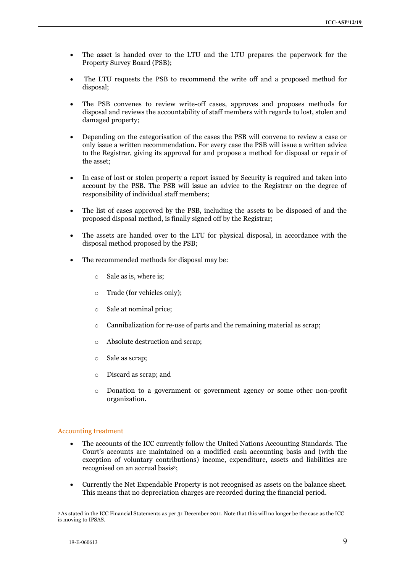- The asset is handed over to the LTU and the LTU prepares the paperwork for the Property Survey Board (PSB);
- The LTU requests the PSB to recommend the write off and a proposed method for disposal;
- The PSB convenes to review write-off cases, approves and proposes methods for disposal and reviews the accountability of staff members with regards to lost, stolen and damaged property;
- Depending on the categorisation of the cases the PSB will convene to review a case or only issue a written recommendation. For every case the PSB will issue a written advice to the Registrar, giving its approval for and propose a method for disposal or repair of the asset;
- In case of lost or stolen property a report issued by Security is required and taken into account by the PSB. The PSB will issue an advice to the Registrar on the degree of responsibility of individual staff members;
- The list of cases approved by the PSB, including the assets to be disposed of and the proposed disposal method, is finally signed off by the Registrar;
- The assets are handed over to the LTU for physical disposal, in accordance with the disposal method proposed by the PSB;
- The recommended methods for disposal may be:
	- o Sale as is, where is;
	- o Trade (for vehicles only);
	- o Sale at nominal price;
	- o Cannibalization for re‐use of parts and the remaining material as scrap;
	- o Absolute destruction and scrap;
	- o Sale as scrap;
	- o Discard as scrap; and
	- o Donation to a government or government agency or some other non‐profit organization.

#### Accounting treatment

- The accounts of the ICC currently follow the United Nations Accounting Standards. The Court's accounts are maintained on a modified cash accounting basis and (with the exception of voluntary contributions) income, expenditure, assets and liabilities are recognised on an accrual basis3;
- Currently the Net Expendable Property is not recognised as assets on the balance sheet. This means that no depreciation charges are recorded during the financial period.

<sup>1</sup> <sup>3</sup> As stated in the ICC Financial Statements as per 31 December 2011. Note that this will no longer be the case as the ICC is moving to IPSAS.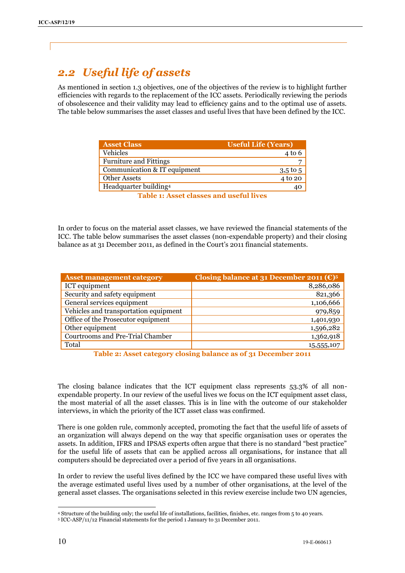## <span id="page-9-0"></span>*2.2 Useful life of assets*

As mentioned in section 1.3 objectives, one of the objectives of the review is to highlight further efficiencies with regards to the replacement of the ICC assets. Periodically reviewing the periods of obsolescence and their validity may lead to efficiency gains and to the optimal use of assets. The table below summarises the asset classes and useful lives that have been defined by the ICC.

| <b>Asset Class</b>            | <b>Useful Life (Years)</b> |
|-------------------------------|----------------------------|
| Vehicles                      | $4$ to 6                   |
| <b>Furniture and Fittings</b> |                            |
| Communication & IT equipment  | $3.5$ to 5                 |
| <b>Other Assets</b>           | 4 to 20                    |
| Headquarter building4         | 40                         |

**Table 1: Asset classes and useful lives**

In order to focus on the material asset classes, we have reviewed the financial statements of the ICC. The table below summarises the asset classes (non-expendable property) and their closing balance as at 31 December 2011, as defined in the Court's 2011 financial statements.

| <b>Asset management category</b>      | Closing balance at 31 December 2011 ( $\epsilon$ ) <sup>5</sup> |
|---------------------------------------|-----------------------------------------------------------------|
| ICT equipment                         | 8,286,086                                                       |
| Security and safety equipment         | 821,366                                                         |
| General services equipment            | 1,106,666                                                       |
| Vehicles and transportation equipment | 979,859                                                         |
| Office of the Prosecutor equipment    | 1,401,930                                                       |
| Other equipment                       | 1,596,282                                                       |
| Courtrooms and Pre-Trial Chamber      | 1,362,918                                                       |
| Total                                 | 15,555,107                                                      |

**Table 2: Asset category closing balance as of 31 December 2011**

The closing balance indicates that the ICT equipment class represents 53.3% of all nonexpendable property. In our review of the useful lives we focus on the ICT equipment asset class, the most material of all the asset classes. This is in line with the outcome of our stakeholder interviews, in which the priority of the ICT asset class was confirmed.

There is one golden rule, commonly accepted, promoting the fact that the useful life of assets of an organization will always depend on the way that specific organisation uses or operates the assets. In addition, IFRS and IPSAS experts often argue that there is no standard "best practice" for the useful life of assets that can be applied across all organisations, for instance that all computers should be depreciated over a period of five years in all organisations.

In order to review the useful lives defined by the ICC we have compared these useful lives with the average estimated useful lives used by a number of other organisations, at the level of the general asset classes. The organisations selected in this review exercise include two UN agencies,

<sup>1</sup> <sup>4</sup> Structure of the building only; the useful life of installations, facilities, finishes, etc. ranges from 5 to 40 years.

<sup>5</sup> ICC-ASP/11/12 Financial statements for the period 1 January to 31 December 2011.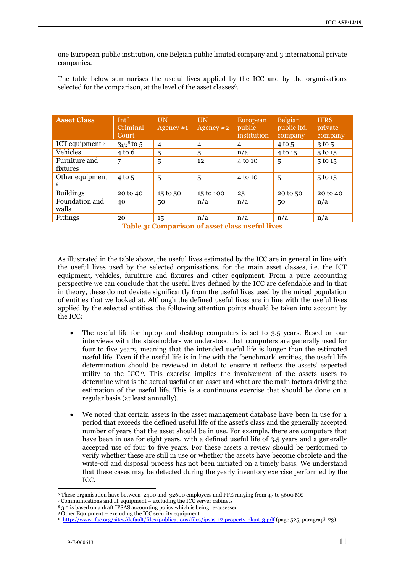one European public institution, one Belgian public limited company and 3 international private companies.

The table below summarises the useful lives applied by the ICC and by the organisations selected for the comparison, at the level of the asset classes<sup>6</sup>.

| <b>Asset Class</b>        | Int'l<br>Criminal<br>Court  | UN<br>Agency $#1$ | UN<br>Agency #2 | European<br>public<br>institution | <b>Belgian</b><br>public ltd.<br>company | <b>IFRS</b><br>private<br>company |
|---------------------------|-----------------------------|-------------------|-----------------|-----------------------------------|------------------------------------------|-----------------------------------|
| ICT equipment 7           | $3_{1/2}$ <sup>8</sup> to 5 | $\overline{4}$    | $\overline{4}$  | $\overline{4}$                    | $4$ to 5                                 | $3$ to $5$                        |
| Vehicles                  | $4$ to 6                    | 5                 | 5               | n/a                               | 4 to 15                                  | 5 to 15                           |
| Furniture and<br>fixtures | 7                           | 5                 | 12              | 4 to 10                           | 5                                        | 5 to 15                           |
| Other equipment<br>9      | $4$ to 5                    | 5                 | 5               | 4 to 10                           | 5                                        | 5 to 15                           |
| <b>Buildings</b>          | 20 to 40                    | 15 to 50          | 15 to 100       | 25                                | 20 to 50                                 | 20 to 40                          |
| Foundation and<br>walls   | 40                          | 50                | n/a             | n/a                               | 50                                       | n/a                               |
| Fittings                  | 20                          | 15                | n/a             | n/a                               | n/a                                      | n/a                               |

**Table 3: Comparison of asset class useful lives**

As illustrated in the table above, the useful lives estimated by the ICC are in general in line with the useful lives used by the selected organisations, for the main asset classes, i.e. the ICT equipment, vehicles, furniture and fixtures and other equipment. From a pure accounting perspective we can conclude that the useful lives defined by the ICC are defendable and in that in theory, these do not deviate significantly from the useful lives used by the mixed population of entities that we looked at. Although the defined useful lives are in line with the useful lives applied by the selected entities, the following attention points should be taken into account by the ICC:

- The useful life for laptop and desktop computers is set to 3.5 years. Based on our interviews with the stakeholders we understood that computers are generally used for four to five years, meaning that the intended useful life is longer than the estimated useful life. Even if the useful life is in line with the 'benchmark' entities, the useful life determination should be reviewed in detail to ensure it reflects the assets' expected utility to the ICC<sup>10</sup>. This exercise implies the involvement of the assets users to determine what is the actual useful of an asset and what are the main factors driving the estimation of the useful life. This is a continuous exercise that should be done on a regular basis (at least annually).
- We noted that certain assets in the asset management database have been in use for a period that exceeds the defined useful life of the asset's class and the generally accepted number of years that the asset should be in use. For example, there are computers that have been in use for eight years, with a defined useful life of 3.5 years and a generally accepted use of four to five years. For these assets a review should be performed to verify whether these are still in use or whether the assets have become obsolete and the write-off and disposal process has not been initiated on a timely basis. We understand that these cases may be detected during the yearly inventory exercise performed by the ICC.

<sup>-</sup><sup>6</sup> These organisation have between 2400 and 32600 employees and PPE ranging from 47 to 5600 M€

<sup>7</sup> Communications and IT equipment – excluding the ICC server cabinets

<sup>8</sup> 3.5 is based on a draft IPSAS accounting policy which is being re-assessed

<sup>9</sup> Other Equipment – excluding the ICC security equipment

<sup>10</sup> <http://www.ifac.org/sites/default/files/publications/files/ipsas-17-property-plant-3.pdf> (page 525, paragraph 73)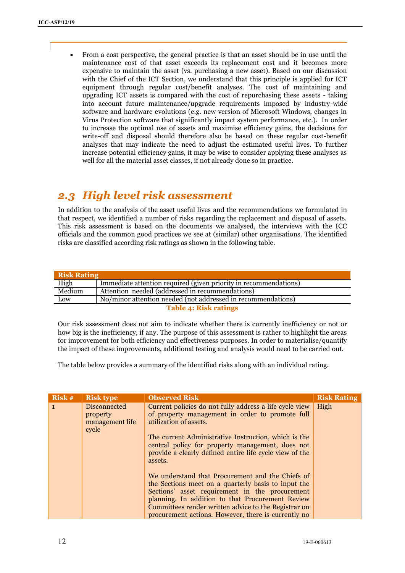From a cost perspective, the general practice is that an asset should be in use until the maintenance cost of that asset exceeds its replacement cost and it becomes more expensive to maintain the asset (vs. purchasing a new asset). Based on our discussion with the Chief of the ICT Section, we understand that this principle is applied for ICT equipment through regular cost/benefit analyses. The cost of maintaining and upgrading ICT assets is compared with the cost of repurchasing these assets - taking into account future maintenance/upgrade requirements imposed by industry-wide software and hardware evolutions (e.g. new version of Microsoft Windows, changes in Virus Protection software that significantly impact system performance, etc.). In order to increase the optimal use of assets and maximise efficiency gains, the decisions for write-off and disposal should therefore also be based on these regular cost-benefit analyses that may indicate the need to adjust the estimated useful lives. To further increase potential efficiency gains, it may be wise to consider applying these analyses as well for all the material asset classes, if not already done so in practice.

### <span id="page-11-0"></span>*2.3 High level risk assessment*

In addition to the analysis of the asset useful lives and the recommendations we formulated in that respect, we identified a number of risks regarding the replacement and disposal of assets. This risk assessment is based on the documents we analysed, the interviews with the ICC officials and the common good practices we see at (similar) other organisations. The identified risks are classified according risk ratings as shown in the following table.

| <b>Risk Rating</b>                                        |                                                                  |  |
|-----------------------------------------------------------|------------------------------------------------------------------|--|
| High                                                      | Immediate attention required (given priority in recommendations) |  |
| Medium<br>Attention needed (addressed in recommendations) |                                                                  |  |
| Low                                                       | No/minor attention needed (not addressed in recommendations)     |  |
| <b>Table 4: Risk ratings</b>                              |                                                                  |  |

Our risk assessment does not aim to indicate whether there is currently inefficiency or not or how big is the inefficiency, if any. The purpose of this assessment is rather to highlight the areas for improvement for both efficiency and effectiveness purposes. In order to materialise/quantify the impact of these improvements, additional testing and analysis would need to be carried out.

The table below provides a summary of the identified risks along with an individual rating.

| $Ris\overline{k}$ # | <b>Risk type</b>                                            | <b>Observed Risk</b>                                                                                                                                                                                                                                                                                                         | <b>Risk Rating</b> |
|---------------------|-------------------------------------------------------------|------------------------------------------------------------------------------------------------------------------------------------------------------------------------------------------------------------------------------------------------------------------------------------------------------------------------------|--------------------|
| $\mathbf{1}$        | <b>Disconnected</b><br>property<br>management life<br>cycle | Current policies do not fully address a life cycle view<br>of property management in order to promote full<br>utilization of assets.<br>The current Administrative Instruction, which is the<br>central policy for property management, does not<br>provide a clearly defined entire life cycle view of the<br>assets.       | High               |
|                     |                                                             | We understand that Procurement and the Chiefs of<br>the Sections meet on a quarterly basis to input the<br>Sections' asset requirement in the procurement<br>planning. In addition to that Procurement Review<br>Committees render written advice to the Registrar on<br>procurement actions. However, there is currently no |                    |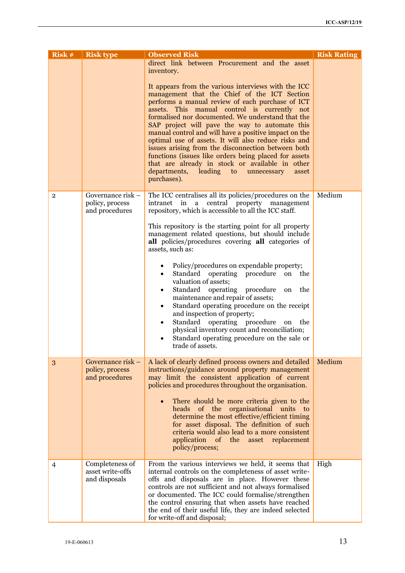| Risk #         | <b>Risk type</b>                                       | <b>Observed Risk</b>                                                                                                                                                                                                                                                                                                                                                                                                                                                                                                                                                                                                                                             | <b>Risk Rating</b> |
|----------------|--------------------------------------------------------|------------------------------------------------------------------------------------------------------------------------------------------------------------------------------------------------------------------------------------------------------------------------------------------------------------------------------------------------------------------------------------------------------------------------------------------------------------------------------------------------------------------------------------------------------------------------------------------------------------------------------------------------------------------|--------------------|
|                |                                                        | direct link between Procurement and the asset<br>inventory.                                                                                                                                                                                                                                                                                                                                                                                                                                                                                                                                                                                                      |                    |
|                |                                                        | It appears from the various interviews with the ICC<br>management that the Chief of the ICT Section<br>performs a manual review of each purchase of ICT<br>assets. This manual control is currently not<br>formalised nor documented. We understand that the<br>SAP project will pave the way to automate this<br>manual control and will have a positive impact on the<br>optimal use of assets. It will also reduce risks and<br>issues arising from the disconnection between both<br>functions (issues like orders being placed for assets<br>that are already in stock or available in other<br>departments, leading to unnecessary<br>asset<br>purchases). |                    |
| $\overline{2}$ | Governance risk -<br>policy, process<br>and procedures | The ICC centralises all its policies/procedures on the<br>a central property management<br>intranet in<br>repository, which is accessible to all the ICC staff.                                                                                                                                                                                                                                                                                                                                                                                                                                                                                                  | Medium             |
|                |                                                        | This repository is the starting point for all property<br>management related questions, but should include<br>all policies/procedures covering all categories of<br>assets, such as:                                                                                                                                                                                                                                                                                                                                                                                                                                                                             |                    |
|                |                                                        | Policy/procedures on expendable property;<br>٠<br>Standard operating procedure<br>on<br>the<br>$\bullet$<br>valuation of assets;<br>Standard operating procedure<br>the<br>on<br>٠<br>maintenance and repair of assets;<br>Standard operating procedure on the receipt<br>٠<br>and inspection of property;<br>Standard operating procedure<br>the<br>on<br>$\bullet$<br>physical inventory count and reconciliation;<br>Standard operating procedure on the sale or<br>$\bullet$<br>trade of assets.                                                                                                                                                             |                    |
| 3              | Governance risk –<br>policy, process<br>and procedures | A lack of clearly defined process owners and detailed<br>instructions/guidance around property management<br>may limit the consistent application of current<br>policies and procedures throughout the organisation.                                                                                                                                                                                                                                                                                                                                                                                                                                             | Medium             |
|                |                                                        | There should be more criteria given to the<br>heads of the organisational units<br>to<br>determine the most effective/efficient timing<br>for asset disposal. The definition of such<br>criteria would also lead to a more consistent<br>application<br>of the<br>asset<br>replacement<br>policy/process;                                                                                                                                                                                                                                                                                                                                                        |                    |
| $\overline{4}$ | Completeness of<br>asset write-offs<br>and disposals   | From the various interviews we held, it seems that<br>internal controls on the completeness of asset write-<br>offs and disposals are in place. However these<br>controls are not sufficient and not always formalised<br>or documented. The ICC could formalise/strengthen<br>the control ensuring that when assets have reached<br>the end of their useful life, they are indeed selected<br>for write-off and disposal;                                                                                                                                                                                                                                       | High               |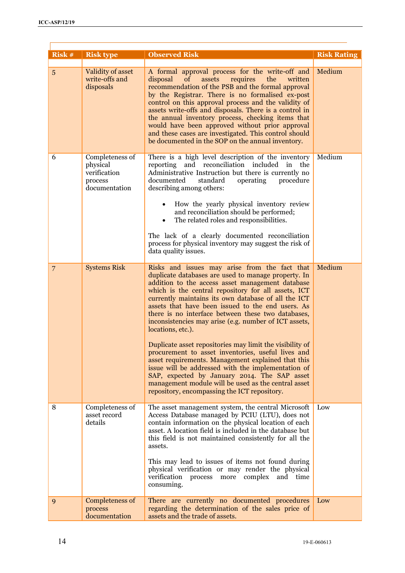| Risk #         | <b>Risk type</b>                                                        | <b>Observed Risk</b>                                                                                                                                                                                                                                                                                                                                                                                                                                                                                                                                                                                                                                                                                                                                                                                                                                 | <b>Risk Rating</b> |
|----------------|-------------------------------------------------------------------------|------------------------------------------------------------------------------------------------------------------------------------------------------------------------------------------------------------------------------------------------------------------------------------------------------------------------------------------------------------------------------------------------------------------------------------------------------------------------------------------------------------------------------------------------------------------------------------------------------------------------------------------------------------------------------------------------------------------------------------------------------------------------------------------------------------------------------------------------------|--------------------|
| 5              | Validity of asset<br>write-offs and<br>disposals                        | A formal approval process for the write-off and<br>the<br>disposal<br>assets<br>requires<br><sub>of</sub><br>written<br>recommendation of the PSB and the formal approval<br>by the Registrar. There is no formalised ex-post<br>control on this approval process and the validity of<br>assets write-offs and disposals. There is a control in<br>the annual inventory process, checking items that<br>would have been approved without prior approval<br>and these cases are investigated. This control should<br>be documented in the SOP on the annual inventory.                                                                                                                                                                                                                                                                                | Medium             |
| 6              | Completeness of<br>physical<br>verification<br>process<br>documentation | There is a high level description of the inventory<br>reporting and reconciliation included<br>in the<br>Administrative Instruction but there is currently no<br>documented<br>standard<br>operating<br>procedure<br>describing among others:<br>How the yearly physical inventory review<br>and reconciliation should be performed;<br>The related roles and responsibilities.<br>The lack of a clearly documented reconciliation<br>process for physical inventory may suggest the risk of<br>data quality issues.                                                                                                                                                                                                                                                                                                                                 | Medium             |
| $\overline{7}$ | <b>Systems Risk</b>                                                     | Risks and issues may arise from the fact that<br>duplicate databases are used to manage property. In<br>addition to the access asset management database<br>which is the central repository for all assets, ICT<br>currently maintains its own database of all the ICT<br>assets that have been issued to the end users. As<br>there is no interface between these two databases,<br>inconsistencies may arise (e.g. number of ICT assets,<br>locations, etc.).<br>Duplicate asset repositories may limit the visibility of<br>procurement to asset inventories, useful lives and<br>asset requirements. Management explained that this<br>issue will be addressed with the implementation of<br>SAP, expected by January 2014. The SAP asset<br>management module will be used as the central asset<br>repository, encompassing the ICT repository. | Medium             |
| 8              | Completeness of<br>asset record<br>details                              | The asset management system, the central Microsoft<br>Access Database managed by PCIU (LTU), does not<br>contain information on the physical location of each<br>asset. A location field is included in the database but<br>this field is not maintained consistently for all the<br>assets.<br>This may lead to issues of items not found during<br>physical verification or may render the physical<br>verification process more complex and time<br>consuming.                                                                                                                                                                                                                                                                                                                                                                                    | Low                |
| 9              | Completeness of<br>process<br>documentation                             | There are currently no documented procedures<br>regarding the determination of the sales price of<br>assets and the trade of assets.                                                                                                                                                                                                                                                                                                                                                                                                                                                                                                                                                                                                                                                                                                                 | Low                |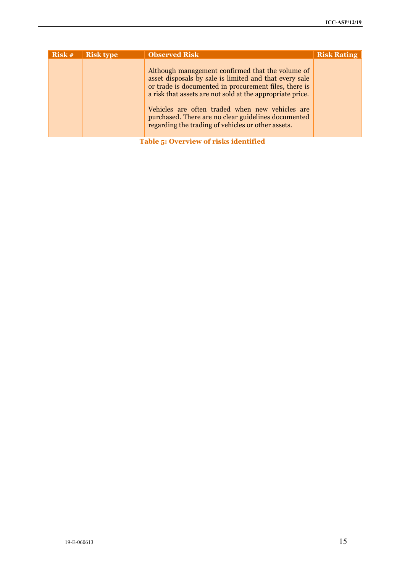| Risk #                                | <b>Risk type</b> | <b>Observed Risk</b>                                                                                                                                                                                                                                                                                                                                                                             | <b>Risk Rating</b> |
|---------------------------------------|------------------|--------------------------------------------------------------------------------------------------------------------------------------------------------------------------------------------------------------------------------------------------------------------------------------------------------------------------------------------------------------------------------------------------|--------------------|
|                                       |                  | Although management confirmed that the volume of<br>asset disposals by sale is limited and that every sale<br>or trade is documented in procurement files, there is<br>a risk that assets are not sold at the appropriate price.<br>Vehicles are often traded when new vehicles are<br>purchased. There are no clear guidelines documented<br>regarding the trading of vehicles or other assets. |                    |
| Table 5: Overview of risks identified |                  |                                                                                                                                                                                                                                                                                                                                                                                                  |                    |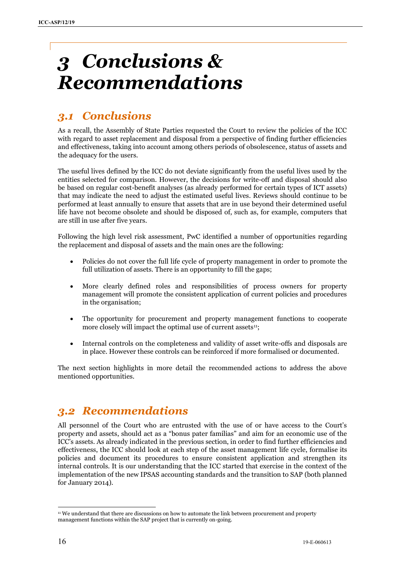## <span id="page-15-0"></span>*3 Conclusions & Recommendations*

## <span id="page-15-1"></span>*3.1 Conclusions*

As a recall, the Assembly of State Parties requested the Court to review the policies of the ICC with regard to asset replacement and disposal from a perspective of finding further efficiencies and effectiveness, taking into account among others periods of obsolescence, status of assets and the adequacy for the users.

The useful lives defined by the ICC do not deviate significantly from the useful lives used by the entities selected for comparison. However, the decisions for write-off and disposal should also be based on regular cost-benefit analyses (as already performed for certain types of ICT assets) that may indicate the need to adjust the estimated useful lives. Reviews should continue to be performed at least annually to ensure that assets that are in use beyond their determined useful life have not become obsolete and should be disposed of, such as, for example, computers that are still in use after five years.

Following the high level risk assessment, PwC identified a number of opportunities regarding the replacement and disposal of assets and the main ones are the following:

- Policies do not cover the full life cycle of property management in order to promote the full utilization of assets. There is an opportunity to fill the gaps;
- More clearly defined roles and responsibilities of process owners for property management will promote the consistent application of current policies and procedures in the organisation;
- The opportunity for procurement and property management functions to cooperate more closely will impact the optimal use of current assets<sup>11</sup>;
- Internal controls on the completeness and validity of asset write-offs and disposals are in place. However these controls can be reinforced if more formalised or documented.

The next section highlights in more detail the recommended actions to address the above mentioned opportunities.

## <span id="page-15-2"></span>*3.2 Recommendations*

All personnel of the Court who are entrusted with the use of or have access to the Court's property and assets, should act as a "bonus pater familias" and aim for an economic use of the ICC's assets. As already indicated in the previous section, in order to find further efficiencies and effectiveness, the ICC should look at each step of the asset management life cycle, formalise its policies and document its procedures to ensure consistent application and strengthen its internal controls. It is our understanding that the ICC started that exercise in the context of the implementation of the new IPSAS accounting standards and the transition to SAP (both planned for January 2014).

<sup>1</sup> <sup>11</sup> We understand that there are discussions on how to automate the link between procurement and property management functions within the SAP project that is currently on-going.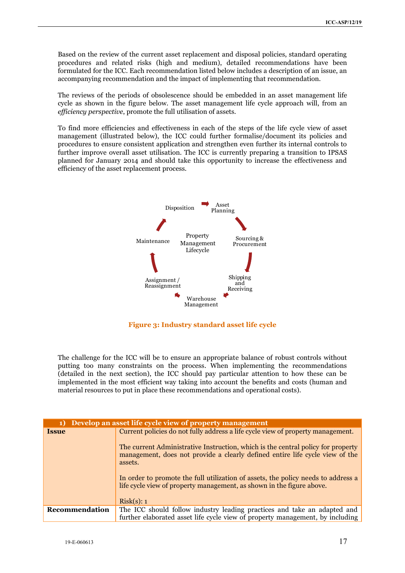Based on the review of the current asset replacement and disposal policies, standard operating procedures and related risks (high and medium), detailed recommendations have been formulated for the ICC. Each recommendation listed below includes a description of an issue, an accompanying recommendation and the impact of implementing that recommendation.

The reviews of the periods of obsolescence should be embedded in an asset management life cycle as shown in the figure below. The asset management life cycle approach will, from an *efficiency perspective*, promote the full utilisation of assets.

To find more efficiencies and effectiveness in each of the steps of the life cycle view of asset management (illustrated below), the ICC could further formalise/document its policies and procedures to ensure consistent application and strengthen even further its internal controls to further improve overall asset utilisation. The ICC is currently preparing a transition to IPSAS planned for January 2014 and should take this opportunity to increase the effectiveness and efficiency of the asset replacement process.



**Figure 3: Industry standard asset life cycle**

The challenge for the ICC will be to ensure an appropriate balance of robust controls without putting too many constraints on the process. When implementing the recommendations (detailed in the next section), the ICC should pay particular attention to how these can be implemented in the most efficient way taking into account the benefits and costs (human and material resources to put in place these recommendations and operational costs).

| 1)             | Develop an asset life cycle view of property management                                                                                                                     |
|----------------|-----------------------------------------------------------------------------------------------------------------------------------------------------------------------------|
| <b>Issue</b>   | Current policies do not fully address a life cycle view of property management.                                                                                             |
|                | The current Administrative Instruction, which is the central policy for property<br>management, does not provide a clearly defined entire life cycle view of the<br>assets. |
|                | In order to promote the full utilization of assets, the policy needs to address a<br>life cycle view of property management, as shown in the figure above.<br>Risk(s): 1    |
| Recommendation | The ICC should follow industry leading practices and take an adapted and<br>further elaborated asset life cycle view of property management, by including                   |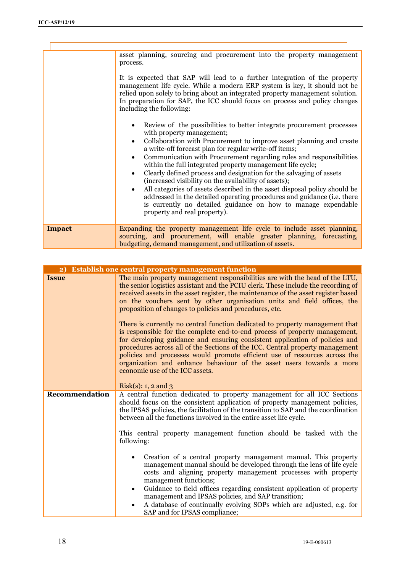$\mathbf{r}$ 

|               | asset planning, sourcing and procurement into the property management<br>process.<br>It is expected that SAP will lead to a further integration of the property<br>management life cycle. While a modern ERP system is key, it should not be<br>relied upon solely to bring about an integrated property management solution.<br>In preparation for SAP, the ICC should focus on process and policy changes<br>including the following:<br>Review of the possibilities to better integrate procurement processes<br>with property management;<br>Collaboration with Procurement to improve asset planning and create<br>a write-off forecast plan for regular write-off items;<br>Communication with Procurement regarding roles and responsibilities<br>within the full integrated property management life cycle;<br>Clearly defined process and designation for the salvaging of assets<br>(increased visibility on the availability of assets);<br>All categories of assets described in the asset disposal policy should be<br>addressed in the detailed operating procedures and guidance (i.e. there<br>is currently no detailed guidance on how to manage expendable<br>property and real property). |
|---------------|--------------------------------------------------------------------------------------------------------------------------------------------------------------------------------------------------------------------------------------------------------------------------------------------------------------------------------------------------------------------------------------------------------------------------------------------------------------------------------------------------------------------------------------------------------------------------------------------------------------------------------------------------------------------------------------------------------------------------------------------------------------------------------------------------------------------------------------------------------------------------------------------------------------------------------------------------------------------------------------------------------------------------------------------------------------------------------------------------------------------------------------------------------------------------------------------------------------|
| <b>Impact</b> | Expanding the property management life cycle to include asset planning,                                                                                                                                                                                                                                                                                                                                                                                                                                                                                                                                                                                                                                                                                                                                                                                                                                                                                                                                                                                                                                                                                                                                      |
|               | sourcing, and procurement, will enable greater planning, forecasting,<br>budgeting, demand management, and utilization of assets.                                                                                                                                                                                                                                                                                                                                                                                                                                                                                                                                                                                                                                                                                                                                                                                                                                                                                                                                                                                                                                                                            |

| $\overline{2}$ | <b>Establish one central property management function</b>                                                                                                                                                                                                                                                                                                                                                                                                                                                           |
|----------------|---------------------------------------------------------------------------------------------------------------------------------------------------------------------------------------------------------------------------------------------------------------------------------------------------------------------------------------------------------------------------------------------------------------------------------------------------------------------------------------------------------------------|
| <b>Issue</b>   | The main property management responsibilities are with the head of the LTU,<br>the senior logistics assistant and the PCIU clerk. These include the recording of<br>received assets in the asset register, the maintenance of the asset register based<br>on the vouchers sent by other organisation units and field offices, the<br>proposition of changes to policies and procedures, etc.                                                                                                                        |
|                | There is currently no central function dedicated to property management that<br>is responsible for the complete end-to-end process of property management,<br>for developing guidance and ensuring consistent application of policies and<br>procedures across all of the Sections of the ICC. Central property management<br>policies and processes would promote efficient use of resources across the<br>organization and enhance behaviour of the asset users towards a more<br>economic use of the ICC assets. |
|                | $Risk(s): 1, 2$ and 3                                                                                                                                                                                                                                                                                                                                                                                                                                                                                               |
| Recommendation | A central function dedicated to property management for all ICC Sections<br>should focus on the consistent application of property management policies,<br>the IPSAS policies, the facilitation of the transition to SAP and the coordination<br>between all the functions involved in the entire asset life cycle.                                                                                                                                                                                                 |
|                | This central property management function should be tasked with the<br>following:                                                                                                                                                                                                                                                                                                                                                                                                                                   |
|                | Creation of a central property management manual. This property<br>management manual should be developed through the lens of life cycle<br>costs and aligning property management processes with property<br>management functions;<br>Guidance to field offices regarding consistent application of property<br>management and IPSAS policies, and SAP transition;<br>A database of continually evolving SOPs which are adjusted, e.g. for<br>SAP and for IPSAS compliance;                                         |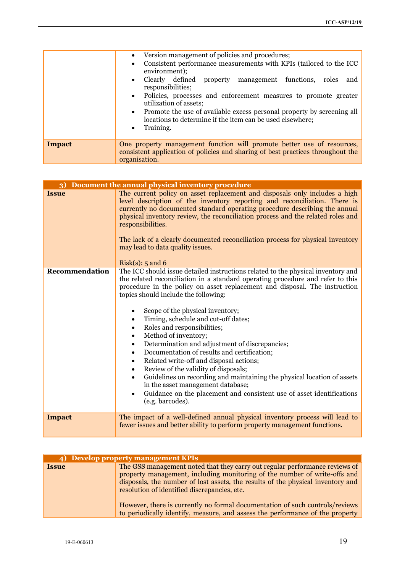|               | • Version management of policies and procedures;<br>Consistent performance measurements with KPIs (tailored to the ICC<br>environment);<br>Clearly defined<br>property management functions, roles<br>and<br>responsibilities;<br>• Policies, processes and enforcement measures to promote greater<br>utilization of assets;<br>• Promote the use of available excess personal property by screening all<br>locations to determine if the item can be used elsewhere;<br>Training. |
|---------------|-------------------------------------------------------------------------------------------------------------------------------------------------------------------------------------------------------------------------------------------------------------------------------------------------------------------------------------------------------------------------------------------------------------------------------------------------------------------------------------|
| <b>Impact</b> | One property management function will promote better use of resources,<br>consistent application of policies and sharing of best practices throughout the<br>organisation.                                                                                                                                                                                                                                                                                                          |

| Document the annual physical inventory procedure<br>3) |                                                                                                                                                                                                                                                                                                                                                                                                                                                                                                                                                                                                                                                                                                                                                                                                                                                                                                                                                  |
|--------------------------------------------------------|--------------------------------------------------------------------------------------------------------------------------------------------------------------------------------------------------------------------------------------------------------------------------------------------------------------------------------------------------------------------------------------------------------------------------------------------------------------------------------------------------------------------------------------------------------------------------------------------------------------------------------------------------------------------------------------------------------------------------------------------------------------------------------------------------------------------------------------------------------------------------------------------------------------------------------------------------|
| <b>Issue</b>                                           | The current policy on asset replacement and disposals only includes a high<br>level description of the inventory reporting and reconciliation. There is<br>currently no documented standard operating procedure describing the annual<br>physical inventory review, the reconciliation process and the related roles and<br>responsibilities.<br>The lack of a clearly documented reconciliation process for physical inventory<br>may lead to data quality issues.<br>Risk $(s)$ : 5 and 6                                                                                                                                                                                                                                                                                                                                                                                                                                                      |
| Recommendation                                         | The ICC should issue detailed instructions related to the physical inventory and<br>the related reconciliation in a standard operating procedure and refer to this<br>procedure in the policy on asset replacement and disposal. The instruction<br>topics should include the following:<br>Scope of the physical inventory;<br>$\bullet$<br>Timing, schedule and cut-off dates;<br>$\bullet$<br>Roles and responsibilities;<br>$\bullet$<br>Method of inventory;<br>$\bullet$<br>Determination and adjustment of discrepancies;<br>$\bullet$<br>Documentation of results and certification;<br>$\bullet$<br>Related write-off and disposal actions;<br>$\bullet$<br>Review of the validity of disposals;<br>$\bullet$<br>Guidelines on recording and maintaining the physical location of assets<br>$\bullet$<br>in the asset management database;<br>Guidance on the placement and consistent use of asset identifications<br>(e.g. barcodes). |
| <b>Impact</b>                                          | The impact of a well-defined annual physical inventory process will lead to<br>fewer issues and better ability to perform property management functions.                                                                                                                                                                                                                                                                                                                                                                                                                                                                                                                                                                                                                                                                                                                                                                                         |

| 4) Develop property management KPIs |                                                                                                                                                                                                                                                                                             |
|-------------------------------------|---------------------------------------------------------------------------------------------------------------------------------------------------------------------------------------------------------------------------------------------------------------------------------------------|
| <b>Issue</b>                        | The GSS management noted that they carry out regular performance reviews of<br>property management, including monitoring of the number of write-offs and<br>disposals, the number of lost assets, the results of the physical inventory and<br>resolution of identified discrepancies, etc. |
|                                     | However, there is currently no formal documentation of such controls/reviews<br>to periodically identify, measure, and assess the performance of the property                                                                                                                               |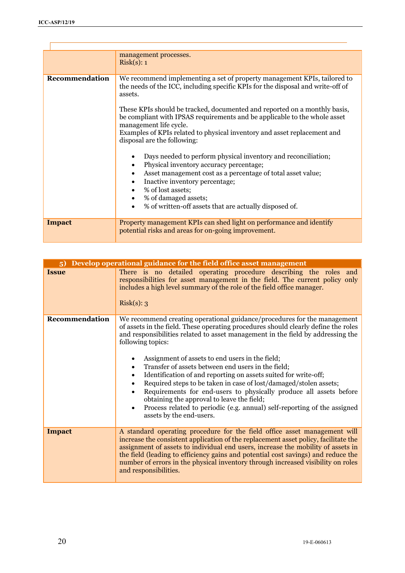|                | management processes.<br>Risk(s): 1                                                                                                                                                                                                                                                                                                                                                                                                                                                                                                                                                                                                                                                                                                                                                                                                                                     |
|----------------|-------------------------------------------------------------------------------------------------------------------------------------------------------------------------------------------------------------------------------------------------------------------------------------------------------------------------------------------------------------------------------------------------------------------------------------------------------------------------------------------------------------------------------------------------------------------------------------------------------------------------------------------------------------------------------------------------------------------------------------------------------------------------------------------------------------------------------------------------------------------------|
| Recommendation | We recommend implementing a set of property management KPIs, tailored to<br>the needs of the ICC, including specific KPIs for the disposal and write-off of<br>assets.<br>These KPIs should be tracked, documented and reported on a monthly basis,<br>be compliant with IPSAS requirements and be applicable to the whole asset<br>management life cycle.<br>Examples of KPIs related to physical inventory and asset replacement and<br>disposal are the following:<br>Days needed to perform physical inventory and reconciliation;<br>Physical inventory accuracy percentage;<br>$\bullet$<br>Asset management cost as a percentage of total asset value;<br>$\bullet$<br>Inactive inventory percentage;<br>$\bullet$<br>% of lost assets;<br>$\bullet$<br>% of damaged assets;<br>$\bullet$<br>% of written-off assets that are actually disposed of.<br>$\bullet$ |
| <b>Impact</b>  | Property management KPIs can shed light on performance and identify<br>potential risks and areas for on-going improvement.                                                                                                                                                                                                                                                                                                                                                                                                                                                                                                                                                                                                                                                                                                                                              |

| Develop operational guidance for the field office asset management<br>5) |                                                                                                                                                                                                                                                                                                                                                                                                                                                                                                                                                                                                                                                                                                                                                                       |
|--------------------------------------------------------------------------|-----------------------------------------------------------------------------------------------------------------------------------------------------------------------------------------------------------------------------------------------------------------------------------------------------------------------------------------------------------------------------------------------------------------------------------------------------------------------------------------------------------------------------------------------------------------------------------------------------------------------------------------------------------------------------------------------------------------------------------------------------------------------|
| <b>Issue</b>                                                             | There is no detailed operating procedure describing the roles and<br>responsibilities for asset management in the field. The current policy only<br>includes a high level summary of the role of the field office manager.<br>Risk(s): 3                                                                                                                                                                                                                                                                                                                                                                                                                                                                                                                              |
| Recommendation                                                           | We recommend creating operational guidance/procedures for the management<br>of assets in the field. These operating procedures should clearly define the roles<br>and responsibilities related to asset management in the field by addressing the<br>following topics:<br>Assignment of assets to end users in the field;<br>Transfer of assets between end users in the field;<br>٠<br>Identification of and reporting on assets suited for write-off;<br>$\bullet$<br>Required steps to be taken in case of lost/damaged/stolen assets;<br>Requirements for end-users to physically produce all assets before<br>obtaining the approval to leave the field;<br>Process related to periodic (e.g. annual) self-reporting of the assigned<br>assets by the end-users. |
| <b>Impact</b>                                                            | A standard operating procedure for the field office asset management will<br>increase the consistent application of the replacement asset policy, facilitate the<br>assignment of assets to individual end users, increase the mobility of assets in<br>the field (leading to efficiency gains and potential cost savings) and reduce the<br>number of errors in the physical inventory through increased visibility on roles<br>and responsibilities.                                                                                                                                                                                                                                                                                                                |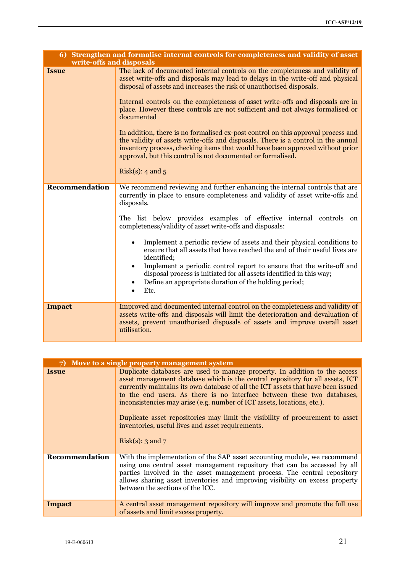| 6) Strengthen and formalise internal controls for completeness and validity of asset<br>write-offs and disposals |                                                                                                                                                                                                                                                                                                                                                                                                                                                                                                                                                                                                                                                                                                                                                   |
|------------------------------------------------------------------------------------------------------------------|---------------------------------------------------------------------------------------------------------------------------------------------------------------------------------------------------------------------------------------------------------------------------------------------------------------------------------------------------------------------------------------------------------------------------------------------------------------------------------------------------------------------------------------------------------------------------------------------------------------------------------------------------------------------------------------------------------------------------------------------------|
| <b>Issue</b>                                                                                                     | The lack of documented internal controls on the completeness and validity of<br>asset write-offs and disposals may lead to delays in the write-off and physical<br>disposal of assets and increases the risk of unauthorised disposals.<br>Internal controls on the completeness of asset write-offs and disposals are in<br>place. However these controls are not sufficient and not always formalised or<br>documented<br>In addition, there is no formalised ex-post control on this approval process and<br>the validity of assets write-offs and disposals. There is a control in the annual<br>inventory process, checking items that would have been approved without prior<br>approval, but this control is not documented or formalised. |
|                                                                                                                  | Risk(s): 4 and $5$                                                                                                                                                                                                                                                                                                                                                                                                                                                                                                                                                                                                                                                                                                                                |
| Recommendation                                                                                                   | We recommend reviewing and further enhancing the internal controls that are<br>currently in place to ensure completeness and validity of asset write-offs and<br>disposals.<br>The list below provides examples of effective internal controls on<br>completeness/validity of asset write-offs and disposals:<br>Implement a periodic review of assets and their physical conditions to<br>ensure that all assets that have reached the end of their useful lives are<br>identified;<br>Implement a periodic control report to ensure that the write-off and<br>$\bullet$<br>disposal process is initiated for all assets identified in this way;<br>Define an appropriate duration of the holding period;<br>$\bullet$<br>Etc.<br>$\bullet$      |
| <b>Impact</b>                                                                                                    | Improved and documented internal control on the completeness and validity of<br>assets write-offs and disposals will limit the deterioration and devaluation of<br>assets, prevent unauthorised disposals of assets and improve overall asset<br>utilisation.                                                                                                                                                                                                                                                                                                                                                                                                                                                                                     |

| Move to a single property management system<br>7) |                                                                                                                                                                                                                                                                                                                                                                                                                                                                                                                                                                   |
|---------------------------------------------------|-------------------------------------------------------------------------------------------------------------------------------------------------------------------------------------------------------------------------------------------------------------------------------------------------------------------------------------------------------------------------------------------------------------------------------------------------------------------------------------------------------------------------------------------------------------------|
| <b>Issue</b>                                      | Duplicate databases are used to manage property. In addition to the access<br>asset management database which is the central repository for all assets, ICT<br>currently maintains its own database of all the ICT assets that have been issued<br>to the end users. As there is no interface between these two databases,<br>inconsistencies may arise (e.g. number of ICT assets, locations, etc.).<br>Duplicate asset repositories may limit the visibility of procurement to asset<br>inventories, useful lives and asset requirements.<br>Risk(s): 3 and $7$ |
| Recommendation                                    | With the implementation of the SAP asset accounting module, we recommend<br>using one central asset management repository that can be accessed by all<br>parties involved in the asset management process. The central repository<br>allows sharing asset inventories and improving visibility on excess property<br>between the sections of the ICC.                                                                                                                                                                                                             |
| Impact                                            | A central asset management repository will improve and promote the full use<br>of assets and limit excess property.                                                                                                                                                                                                                                                                                                                                                                                                                                               |